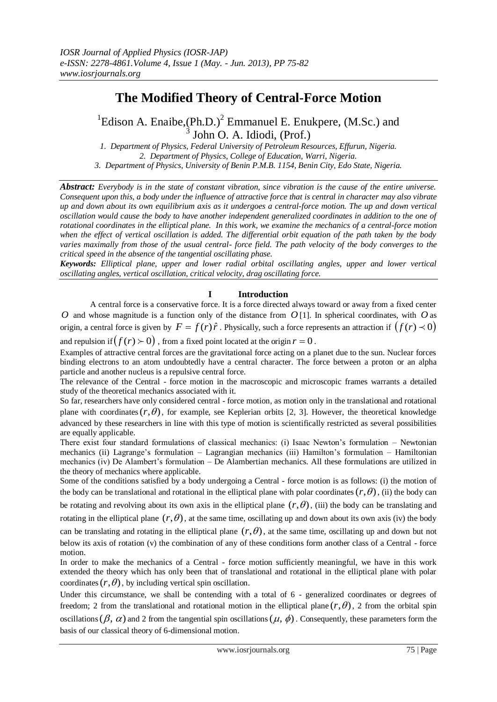# **The Modified Theory of Central-Force Motion**

<sup>1</sup>Edison A. Enaibe,  $(Ph.D.)^2$  Emmanuel E. Enukpere,  $(M.Sc.)$  and <sup>3</sup> John O. A. Idiodi, (Prof.)

*1. Department of Physics, Federal University of Petroleum Resources, Effurun, Nigeria. 2. Department of Physics, College of Education, Warri, Nigeria. 3. Department of Physics, University of Benin P.M.B. 1154, Benin City, Edo State, Nigeria.*

*Abstract: Everybody is in the state of constant vibration, since vibration is the cause of the entire universe. Consequent upon this, a body under the influence of attractive force that is central in character may also vibrate up and down about its own equilibrium axis as it undergoes a central-force motion. The up and down vertical oscillation would cause the body to have another independent generalized coordinates in addition to the one of rotational coordinates in the elliptical plane. In this work, we examine the mechanics of a central-force motion when the effect of vertical oscillation is added. The differential orbit equation of the path taken by the body varies maximally from those of the usual central- force field. The path velocity of the body converges to the critical speed in the absence of the tangential oscillating phase.*

*Keywords: Elliptical plane, upper and lower radial orbital oscillating angles, upper and lower vertical oscillating angles, vertical oscillation, critical velocity, drag oscillating force.*

## **I Introduction**

A central force is a conservative force. It is a force directed always toward or away from a fixed center *O* and whose magnitude is a function only of the distance from *O* [1]. In spherical coordinates, with *O* as origin, a central force is given by  $F = f(r)\hat{r}$ . Physically, such a force represents an attraction if  $(f(r) \prec 0)$ and repulsion if  $(f(r) \succ 0)$  , from a fixed point located at the origin  $r = 0$  .

Examples of attractive central forces are the gravitational force acting on a planet due to the sun. Nuclear forces binding electrons to an atom undoubtedly have a central character. The force between a proton or an alpha particle and another nucleus is a repulsive central force.

The relevance of the Central - force motion in the macroscopic and microscopic frames warrants a detailed study of the theoretical mechanics associated with it.

So far, researchers have only considered central - force motion, as motion only in the translational and rotational plane with coordinates  $(r, \theta)$ , for example, see Keplerian orbits [2, 3]. However, the theoretical knowledge advanced by these researchers in line with this type of motion is scientifically restricted as several possibilities are equally applicable.

There exist four standard formulations of classical mechanics: (i) Isaac Newton's formulation – Newtonian mechanics (ii) Lagrange's formulation – Lagrangian mechanics (iii) Hamilton's formulation – Hamiltonian mechanics (iv) De Alambert's formulation – De Alambertian mechanics. All these formulations are utilized in the theory of mechanics where applicable.

Some of the conditions satisfied by a body undergoing a Central - force motion is as follows: (i) the motion of the body can be translational and rotational in the elliptical plane with polar coordinates  $(r, \theta)$ , (ii) the body can

be rotating and revolving about its own axis in the elliptical plane  $(r, \theta)$ , (iii) the body can be translating and rotating in the elliptical plane  $(r, \theta)$ , at the same time, oscillating up and down about its own axis (iv) the body

can be translating and rotating in the elliptical plane  $(r, \theta)$ , at the same time, oscillating up and down but not below its axis of rotation (v) the combination of any of these conditions form another class of a Central - force motion.

In order to make the mechanics of a Central - force motion sufficiently meaningful, we have in this work extended the theory which has only been that of translational and rotational in the elliptical plane with polar coordinates  $(r, \theta)$ , by including vertical spin oscillation.

Under this circumstance, we shall be contending with a total of 6 - generalized coordinates or degrees of freedom; 2 from the translational and rotational motion in the elliptical plane  $(r, \theta)$ , 2 from the orbital spin

oscillations  $(\beta, \alpha)$  and 2 from the tangential spin oscillations  $(\mu, \phi)$ . Consequently, these parameters form the basis of our classical theory of 6-dimensional motion.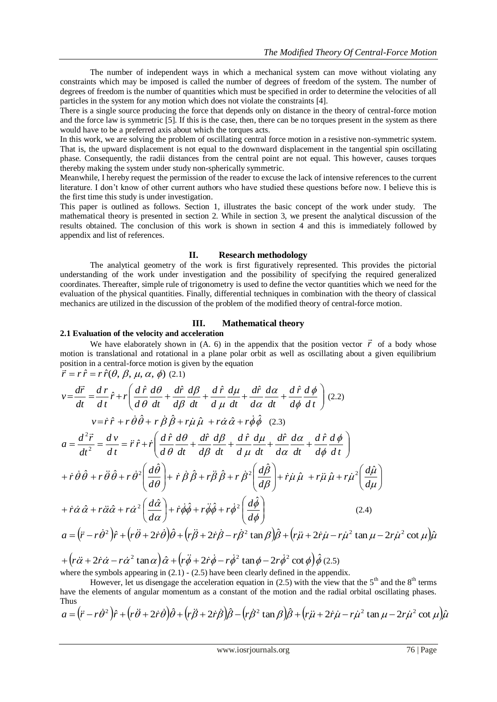The number of independent ways in which a mechanical system can move without violating any constraints which may be imposed is called the number of degrees of freedom of the system. The number of degrees of freedom is the number of quantities which must be specified in order to determine the velocities of all particles in the system for any motion which does not violate the constraints [4].

There is a single source producing the force that depends only on distance in the theory of central-force motion and the force law is symmetric [5]. If this is the case, then, there can be no torques present in the system as there would have to be a preferred axis about which the torques acts.

In this work, we are solving the problem of oscillating central force motion in a resistive non-symmetric system. That is, the upward displacement is not equal to the downward displacement in the tangential spin oscillating phase. Consequently, the radii distances from the central point are not equal. This however, causes torques thereby making the system under study non-spherically symmetric.

Meanwhile, I hereby request the permission of the reader to excuse the lack of intensive references to the current literature. I don't know of other current authors who have studied these questions before now. I believe this is the first time this study is under investigation.

This paper is outlined as follows. Section 1, illustrates the basic concept of the work under study. The mathematical theory is presented in section 2. While in section 3, we present the analytical discussion of the results obtained. The conclusion of this work is shown in section 4 and this is immediately followed by appendix and list of references.

## **II. Research methodology**

The analytical geometry of the work is first figuratively represented. This provides the pictorial understanding of the work under investigation and the possibility of specifying the required generalized coordinates. Thereafter, simple rule of trigonometry is used to define the vector quantities which we need for the evaluation of the physical quantities. Finally, differential techniques in combination with the theory of classical mechanics are utilized in the discussion of the problem of the modified theory of central-force motion.

# **III. Mathematical theory**

## **2.1 Evaluation of the velocity and acceleration**

**Example 1** and **allocate the appendix** that the position vector  $\vec{r}$  of a body whose We have elaborately shown in (A. 6) in the appendix that the position vector  $\vec{r}$  of a body whose motion is translational and rotational in a plane polar orbit as well as oscillating about a given equilibrium position in a central-force motion is given by the equation position in a central-force motion is g<br>  $\vec{r} = r \hat{r} = r \hat{r}(\theta, \beta, \mu, \alpha, \phi)$  (2.1)

$$
v = \frac{d\vec{r}}{dt} = \frac{d\vec{r}}{dt}\hat{r} + r \left( \frac{d\hat{r}}{d\theta} \frac{d\theta}{dt} + \frac{d\hat{r}}{d\beta} \frac{d\beta}{dt} + \frac{d\hat{r}}{d\mu} \frac{d\mu}{dt} + \frac{d\hat{r}}{d\alpha} \frac{d\alpha}{dt} + \frac{d\hat{r}}{d\phi} \frac{d\phi}{dt} \right)
$$
 (2.2)  
\n
$$
v = \dot{r}\hat{r} + r\dot{\theta}\hat{\theta} + r\dot{\beta}\hat{\beta} + r\dot{\mu}\hat{\mu} + r\dot{\alpha}\hat{\alpha} + r\dot{\phi}\hat{\phi}
$$
 (2.3)  
\n
$$
a = \frac{d^2\vec{r}}{dt^2} = \frac{d\vec{v}}{dt} = \ddot{r}\hat{r} + \dot{r} \left( \frac{d\hat{r}}{d\theta} \frac{d\theta}{dt} + \frac{d\hat{r}}{d\beta} \frac{d\beta}{dt} + \frac{d\hat{r}}{d\mu} \frac{d\mu}{dt} + \frac{d\hat{r}}{d\alpha} \frac{d\alpha}{dt} + \frac{d\hat{r}}{d\phi} \frac{d\phi}{dt} \right)
$$
  
\n
$$
+ \dot{r}\dot{\theta}\hat{\theta} + r\ddot{\theta}\hat{\theta} + r\dot{\theta}^2 \left( \frac{d\hat{\theta}}{d\theta} \right) + \dot{r}\dot{\beta}\hat{\beta} + r\ddot{\beta}\hat{\beta} + r\dot{\beta}^2 \left( \frac{d\hat{\beta}}{d\beta} \right) + \dot{r}\dot{\mu}\dot{\mu} + r\ddot{\mu}\dot{\mu} + r\ddot{\mu}^2 \left( \frac{d\hat{\mu}}{d\mu} \right)
$$
  
\n
$$
+ \dot{r}\dot{\alpha}\hat{\alpha} + r\ddot{\alpha}\hat{\alpha} + r\dot{\alpha}^2 \left( \frac{d\hat{\alpha}}{d\alpha} \right) + \dot{r}\dot{\phi}\dot{\phi} + r\ddot{\phi}\dot{\phi} + r\dot{\phi}^2 \left( \frac{d\hat{\phi}}{d\phi} \right)
$$
 (2.4)  
\n
$$
a = (\ddot{r} - r\dot{\theta}^
$$

 $+\left(r\ddot{\alpha}+2\dot{r}\dot{\alpha}-r\dot{\alpha}^{2}\tan\alpha\right)\hat{\alpha}+\left(r\ddot{\phi}+2\dot{r}\dot{\phi}-r\dot{\phi}^{2}\tan\phi-2r\dot{\phi}^{2}\cot\phi\right)\hat{\phi}$ (2.5) where the symbols appearing in  $(2.1)$  -  $(2.5)$  have been clearly defined in the appendix.

However, let us disengage the acceleration equation in (2.5) with the view that the  $5<sup>th</sup>$  and the  $8<sup>th</sup>$  terms have the elements of angular momentum as a constant of the motion and the radial orbital oscillating phases. Thus

$$
a = (\ddot{r} - r\dot{\theta}^2)\hat{r} + (r\ddot{\theta} + 2\dot{r}\dot{\theta})\hat{\theta} + (r\ddot{\theta} + 2\dot{r}\dot{\theta})\hat{\beta} - (r\dot{\theta}^2\tan\beta)\hat{\theta} + (r\ddot{\mu} + 2\dot{r}\dot{\mu} - r\dot{\mu}^2\tan\mu - 2r\dot{\mu}^2\cot\mu)\hat{\mu}
$$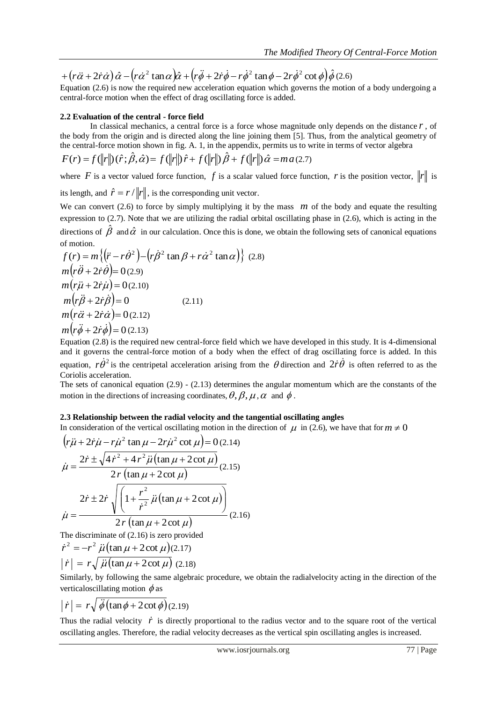$+\left(r\ddot{\alpha}+2\dot{r}\dot{\alpha}\right)\hat{\alpha}-\left(r\dot{\alpha}^{2} \tan \alpha\right)\hat{\alpha}+\left(r\ddot{\phi}+2\dot{r}\dot{\phi}-r\dot{\phi}^{2} \tan \phi-2r\dot{\phi}^{2} \cot \phi\right)\hat{\phi}$ (2.6)

Equation (2.6) is now the required new acceleration equation which governs the motion of a body undergoing a central-force motion when the effect of drag oscillating force is added.

## **2.2 Evaluation of the central - force field**

In classical mechanics, a central force is a force whose magnitude only depends on the distance *r* , of the body from the origin and is directed along the line joining them [5]. Thus, from the analytical geometry of the central-force motion shown in fig. A. 1, in the appendix, permits us to write in terms of vector algebra

$$
F(r) = f(||r||)(\hat{r}; \hat{\beta}, \hat{\alpha}) = f(||r||) \hat{r} + f(||r||) \hat{\beta} + f(||r||) \hat{\alpha} = ma(2.7)
$$

where F is a vector valued force function, f is a scalar valued force function, r is the position vector,  $||r||$  is its length, and  $\hat{r} = r / ||r||$ , is the corresponding unit vector.

We can convert  $(2.6)$  to force by simply multiplying it by the mass  $m$  of the body and equate the resulting expression to (2.7). Note that we are utilizing the radial orbital oscillating phase in (2.6), which is acting in the directions of  $\hat{\beta}$  and  $\hat{\alpha}$  in our calculation. Once this is done, we obtain the following sets of canonical equations of motion.

+ 
$$
(r\partial + 2r\partial) \partial - (r\partial^2 \tan \alpha) \partial + (r\partial \phi + 2r\partial \phi - r\partial \phi^2 \tan \phi - 2r\partial \phi^2 \cot \phi) \partial \phi
$$
 (2.6)  
Equation (2.6) is now the required new acceleration equation which governs the motion of a body undergoing a  
Equation of the central - force field  
2.2 **Evaluation of the central** force is a force whose magnitude only depends on the distance *r*, of  
the body from the original and is directed along the line joining them [5]. Thus, from the analytical geometry of  
the central-force motion shown in fig. A. 1, in the appendix, permits us to write in terms of vector algebra  
 $F(r) = f(\|\pi\|) (\hat{r}; \hat{\beta}, \hat{\alpha}) = f(\|\pi\|) \hat{r} + f(\|\pi\|) \hat{\beta} + f(\|\pi\|) \hat{\alpha} = ma(2.7)$   
where *F* is a vector value for one function, *f* is a scalar value of force function, *r* is the position vector,  $|\pi\|$  is  
its length, and  $\hat{r} = r' |\|\pi\|$ , is the corresponding unit vector.  
We can convert (2.6) to force by simply multiplying it by the mass *m* of the body and equate the resulting  
expression to (2.7). Note that we are utilizing the radial orbital oscillating phase in (2.6), which is acting in the  
direction  
of motion.  
 $f(r) = m \{(|\hat{r} - r\hat{\alpha}|^2) - (r\hat{\beta}^2 \tan \beta + r\hat{\alpha}^2 \tan \alpha)\}$  (2.8)  
 $m(r\hat{\beta} + 2\hat{r}\hat{\alpha}) = 0 (2.10)$   
 $m(r\hat{\beta} + 2\hat{r}\hat{\alpha}) = 0 (2.10)$   
 $m(r\hat{\beta} + 2\hat{r}\hat{\alpha}) = 0 (2.10)$   
 $m(r\hat{\beta} + 2\hat{r}\hat{\alpha}) = 0 (2.10)$   
 $m(r\hat{\beta} + 2\hat{r}\hat{\alpha}) = 0 (2.11)$   
 $m(r\hat{\beta} + 2\hat{r}\hat{\alpha}) = 0 (2.12)$   
 $m(r\hat{\beta} + 2\hat{r}\hat{\alpha}) = 0 (2.13)$   
Equation (2.8) is the required-free motion of a body when the effect of drag oscillating force is added. In this  
equation (2

Equation (2.8) is the required new central-force field which we have developed in this study. It is 4-dimensional and it governs the central-force motion of a body when the effect of drag oscillating force is added. In this equation,  $r\dot{\theta}^2$  is the centripetal acceleration arising from the  $\theta$  direction and  $2\dot{r}\dot{\theta}$  is often referred to as the Coriolis acceleration.

The sets of canonical equation  $(2.9)$  -  $(2.13)$  determines the angular momentum which are the constants of the motion in the directions of increasing coordinates,  $\theta$ ,  $\beta$ ,  $\mu$ ,  $\alpha$  and  $\phi$ .

## **2.3 Relationship between the radial velocity and the tangential oscillating angles**

In consideration of the vertical oscillating motion in the direction of  $\mu$  in (2.6), we have that for  $m \neq 0$ 

$$
\left(r\ddot{\mu} + 2\dot{r}\dot{\mu} - r\dot{\mu}^{2} \tan \mu - 2r\dot{\mu}^{2} \cot \mu\right) = 0 \text{ (2.14)}
$$
\n
$$
\dot{\mu} = \frac{2\dot{r} \pm \sqrt{4\dot{r}^{2} + 4r^{2}\dot{\mu}(\tan \mu + 2\cot \mu)}}{2r(\tan \mu + 2\cot \mu)} \text{ (2.15)}
$$
\n
$$
\dot{\mu} = \frac{2\dot{r} \pm 2\dot{r} \sqrt{\left(1 + \frac{r^{2}}{\dot{r}^{2}}\dot{\mu}(\tan \mu + 2\cot \mu)\right)}}{2r(\tan \mu + 2\cot \mu)} \text{ (2.16)}
$$

The discriminate of (2.16) is zero provided

$$
\dot{r}^2 = -r^2 \ddot{\mu} (\tan \mu + 2 \cot \mu) (2.17)
$$

$$
|\dot{r}| = r \sqrt{\ddot{\mu} (\tan \mu + 2 \cot \mu)} (2.18)
$$

Similarly, by following the same algebraic procedure, we obtain the radialvelocity acting in the direction of the vertical oscillating motion  $\phi$  as

$$
|\dot{r}| = r\sqrt{\ddot{\phi}\left(\tan\phi + 2\cot\phi\right)} (2.19)
$$

Thus the radial velocity  $\dot{r}$  is directly proportional to the radius vector and to the square root of the vertical oscillating angles. Therefore, the radial velocity decreases as the vertical spin oscillating angles is increased.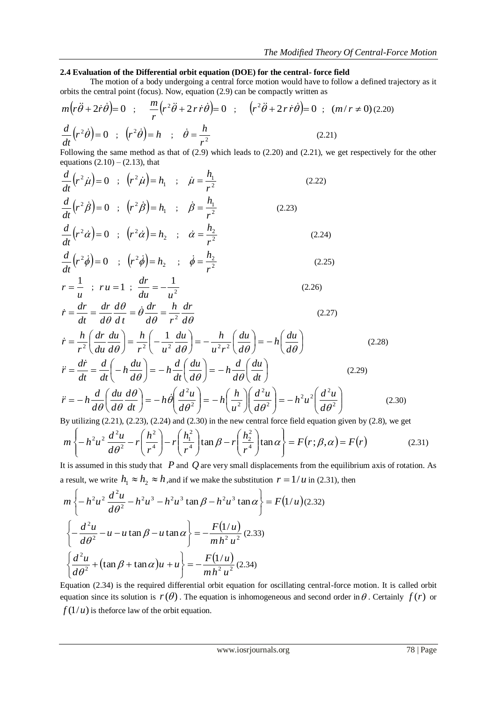## **2.4 Evaluation of the Differential orbit equation (DOE) for the central- force field**

The motion of a body undergoing a central force motion would have to follow a defined trajectory as it orbits the central point (focus). Now, equation (2.9) can be compactly written as

$$
m(r\ddot{\theta} + 2\dot{r}\dot{\theta}) = 0 \quad ; \quad \frac{m}{r}(r^2\ddot{\theta} + 2r\dot{r}\dot{\theta}) = 0 \quad ; \quad (r^2\ddot{\theta} + 2r\dot{r}\dot{\theta}) = 0 \quad ; \quad (m/r \neq 0) \text{ (2.20)}
$$
\n
$$
\frac{d}{dt}(r^2\dot{\theta}) = 0 \quad ; \quad (r^2\dot{\theta}) = h \quad ; \quad \dot{\theta} = \frac{h}{r^2} \tag{2.21}
$$

Following the same method as that of (2.9) which leads to (2.20) and (2.21), we get respectively for the other equations  $(2.10) - (2.13)$ , that

$$
\frac{d}{dt}\left(r^2\dot{\mu}\right) = 0 \quad ; \quad \left(r^2\dot{\mu}\right) = h_1 \quad ; \quad \dot{\mu} = \frac{h_1}{r^2} \tag{2.22}
$$
\n
$$
\frac{d}{dt}\left(r^2\dot{\beta}\right) = 0 \quad ; \quad \left(r^2\dot{\beta}\right) = h_1 \quad ; \quad \dot{\beta} = \frac{h_1}{r^2} \tag{2.23}
$$
\n
$$
\frac{d}{dt}\left(r^2\dot{\alpha}\right) = 0 \quad ; \quad \left(r^2\dot{\alpha}\right) = h_2 \quad ; \quad \dot{\alpha} = \frac{h_2}{r^2} \tag{2.24}
$$
\n
$$
\frac{d}{dt}\left(r^2\dot{\phi}\right) = 0 \quad ; \quad \left(r^2\dot{\phi}\right) = h_2 \quad ; \quad \dot{\phi} = \frac{h_2}{r^2} \tag{2.25}
$$
\n
$$
r = \frac{1}{u} \quad ; \quad ru = 1 \quad ; \quad \frac{dr}{du} = -\frac{1}{u^2} \tag{2.26}
$$
\n
$$
\dot{r} = \frac{dr}{dt} = \frac{dr}{d\theta} \frac{d\theta}{dt} = \dot{\theta} \frac{dr}{d\theta} = \frac{h}{r^2} \frac{dr}{d\theta} \tag{2.27}
$$

$$
\dot{r} = \frac{h}{r^2} \left( \frac{dr}{du} \frac{du}{d\theta} \right) = \frac{h}{r^2} \left( -\frac{1}{u^2} \frac{du}{d\theta} \right) = -\frac{h}{u^2 r^2} \left( \frac{du}{d\theta} \right) = -h \left( \frac{du}{d\theta} \right)
$$
\n(2.28)  
\n
$$
\ddot{r} = \frac{dr}{dt} = \frac{d}{dt} \left( -h \frac{du}{d\theta} \right) = -h \frac{d}{dt} \left( \frac{du}{d\theta} \right) = -h \frac{d}{d\theta} \left( \frac{du}{dt} \right)
$$
\n(2.29)

$$
\ddot{r} = -h \frac{d}{d\theta} \left( \frac{du}{d\theta} \frac{d\theta}{dt} \right) = -h \dot{\theta} \left( \frac{d^2 u}{d\theta^2} \right) = -h \left( \frac{h}{u^2} \right) \left( \frac{d^2 u}{d\theta^2} \right) = -h^2 u^2 \left( \frac{d^2 u}{d\theta^2} \right)
$$
(2.30)

By utilizing (2.21), (2.23), (2.24) and (2.30) in the new central force field equation given by (2.8), we get

$$
m\left\{-h^2u^2\frac{d^2u}{d\theta^2}-r\left(\frac{h^2}{r^4}\right)-r\left(\frac{h_1^2}{r^4}\right)\tan\beta-r\left(\frac{h_2^2}{r^4}\right)\tan\alpha\right\}=F(r;\beta,\alpha)=F(r)
$$
 (2.31)

It is assumed in this study that *P* and *Q* are very small displacements from the equilibrium axis of rotation. As a result, we write  $h_1 \approx h_2 \approx h$ , and if we make the substitution  $r = 1/u$  in (2.31), then

$$
m\left\{-h^2u^2\frac{d^2u}{d\theta^2} - h^2u^3 - h^2u^3\tan\beta - h^2u^3\tan\alpha\right\} = F(1/u)(2.32)
$$
  

$$
\left\{-\frac{d^2u}{d\theta^2} - u - u\tan\beta - u\tan\alpha\right\} = -\frac{F(1/u)}{mh^2u^2}(2.33)
$$
  

$$
\left\{\frac{d^2u}{d\theta^2} + (\tan\beta + \tan\alpha)u + u\right\} = -\frac{F(1/u)}{mh^2u^2}(2.34)
$$

Equation (2.34) is the required differential orbit equation for oscillating central-force motion. It is called orbit equation since its solution is  $r(\theta)$ . The equation is inhomogeneous and second order in  $\theta$ . Certainly  $f(r)$  or  $f(1/u)$  is theforce law of the orbit equation.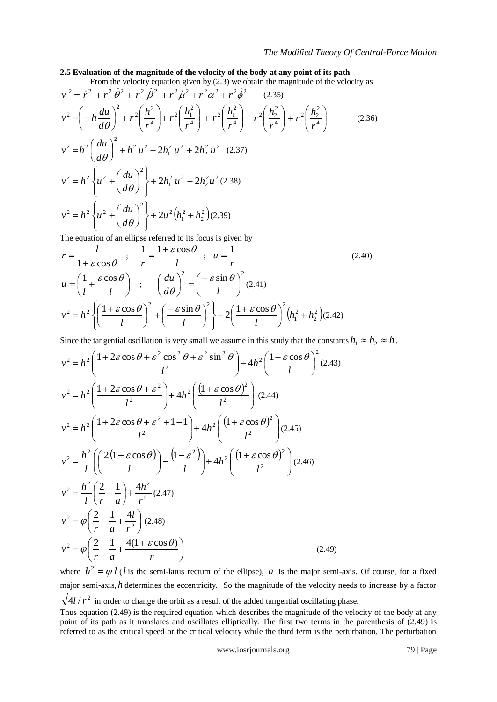### **2.5 Evaluation of the magnitude of the velocity of the body at any point of its path**

From the velocity equation given by (2.3) we obtain the magnitude of the velocity as

$$
v^{2} = \dot{r}^{2} + r^{2} \dot{\theta}^{2} + r^{2} \dot{\beta}^{2} + r^{2} \dot{\mu}^{2} + r^{2} \dot{\alpha}^{2} + r^{2} \dot{\theta}^{2}
$$
 (2.35)  
\n
$$
v^{2} = \left(-h \frac{du}{d\theta}\right)^{2} + r^{2} \left(\frac{h^{2}}{r^{4}}\right) + r^{2} \left(\frac{h_{1}^{2}}{r^{4}}\right) + r^{2} \left(\frac{h_{2}^{2}}{r^{4}}\right) + r^{2} \left(\frac{h_{2}^{2}}{r^{4}}\right) + r^{2} \left(\frac{h_{2}^{2}}{r^{4}}\right)
$$
 (2.36)  
\n
$$
v^{2} = h^{2} \left(\frac{du}{d\theta}\right)^{2} + h^{2} u^{2} + 2h_{1}^{2} u^{2} + 2h_{2}^{2} u^{2}
$$
 (2.37)  
\n
$$
v^{2} = h^{2} \left\{u^{2} + \left(\frac{du}{d\theta}\right)^{2}\right\} + 2h_{1}^{2} u^{2} + 2h_{2}^{2} u^{2}
$$
 (2.38)  
\n
$$
v^{2} = h^{2} \left\{u^{2} + \left(\frac{du}{d\theta}\right)^{2}\right\} + 2u^{2} \left(h_{1}^{2} + h_{2}^{2}\right)
$$
 (2.39)

The equation of an ellipse referred to its focus is given by

$$
r = \frac{l}{1 + \varepsilon \cos \theta} \quad ; \quad \frac{1}{r} = \frac{1 + \varepsilon \cos \theta}{l} \quad ; \quad u = \frac{1}{r}
$$
\n
$$
u = \left(\frac{1}{l} + \frac{\varepsilon \cos \theta}{l}\right) \quad ; \quad \left(\frac{du}{d\theta}\right)^2 = \left(\frac{-\varepsilon \sin \theta}{l}\right)^2 (2.41)
$$
\n
$$
v^2 = h^2 \left\{\left(\frac{1 + \varepsilon \cos \theta}{l}\right)^2 + \left(\frac{-\varepsilon \sin \theta}{l}\right)^2\right\} + 2\left(\frac{1 + \varepsilon \cos \theta}{l}\right)^2 \left(h_1^2 + h_2^2\right) (2.42)
$$

Since the tangential oscillation is very small we assume in this study that the constants  $h_1 \approx h_2 \approx h$ .

$$
v^{2} = h^{2} \left( \frac{1 + 2\varepsilon \cos \theta + \varepsilon^{2} \cos^{2} \theta + \varepsilon^{2} \sin^{2} \theta}{l^{2}} \right) + 4h^{2} \left( \frac{1 + \varepsilon \cos \theta}{l} \right)^{2} (2.43)
$$
  
\n
$$
v^{2} = h^{2} \left( \frac{1 + 2\varepsilon \cos \theta + \varepsilon^{2}}{l^{2}} \right) + 4h^{2} \left( \frac{(1 + \varepsilon \cos \theta)^{2}}{l^{2}} \right) (2.44)
$$
  
\n
$$
v^{2} = h^{2} \left( \frac{1 + 2\varepsilon \cos \theta + \varepsilon^{2} + 1 - 1}{l^{2}} \right) + 4h^{2} \left( \frac{(1 + \varepsilon \cos \theta)^{2}}{l^{2}} \right) (2.45)
$$
  
\n
$$
v^{2} = \frac{h^{2}}{l} \left( \left( \frac{2(1 + \varepsilon \cos \theta)}{l} \right) - \frac{(1 - \varepsilon^{2})}{l} \right) + 4h^{2} \left( \frac{(1 + \varepsilon \cos \theta)^{2}}{l^{2}} \right) (2.46)
$$
  
\n
$$
v^{2} = \frac{h^{2}}{l} \left( \frac{2}{r} - \frac{1}{a} \right) + \frac{4h^{2}}{r^{2}} (2.47)
$$
  
\n
$$
v^{2} = \varphi \left( \frac{2}{r} - \frac{1}{a} + \frac{4l}{r^{2}} \right) (2.48)
$$
  
\n
$$
v^{2} = \varphi \left( \frac{2}{r} - \frac{1}{a} + \frac{4(1 + \varepsilon \cos \theta)}{r} \right)
$$
  
\n
$$
(2.49)
$$

where  $h^2 = \varphi l$  (*l* is the semi-latus rectum of the ellipse), *a* is the major semi-axis. Of course, for a fixed major semi-axis, *h* determines the eccentricity. So the magnitude of the velocity needs to increase by a factor  $4l/r^2$  in order to change the orbit as a result of the added tangential oscillating phase.

Thus equation (2.49) is the required equation which describes the magnitude of the velocity of the body at any point of its path as it translates and oscillates elliptically. The first two terms in the parenthesis of (2.49) is referred to as the critical speed or the critical velocity while the third term is the perturbation. The perturbation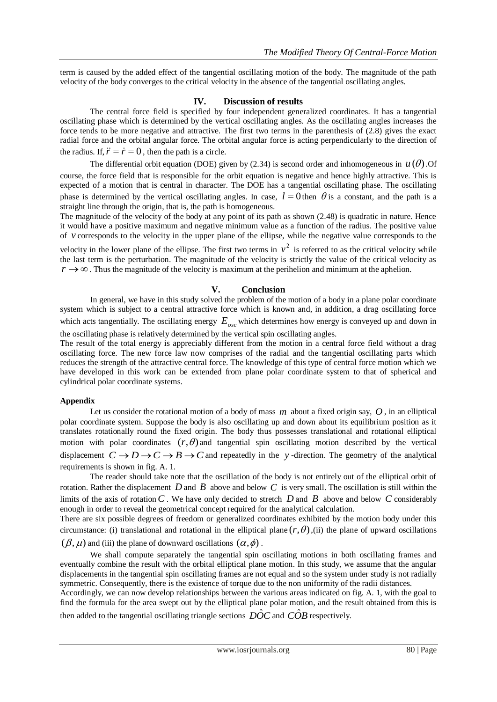term is caused by the added effect of the tangential oscillating motion of the body. The magnitude of the path velocity of the body converges to the critical velocity in the absence of the tangential oscillating angles.

### **IV. Discussion of results**

The central force field is specified by four independent generalized coordinates. It has a tangential oscillating phase which is determined by the vertical oscillating angles. As the oscillating angles increases the force tends to be more negative and attractive. The first two terms in the parenthesis of (2.8) gives the exact radial force and the orbital angular force. The orbital angular force is acting perpendicularly to the direction of the radius. If,  $\ddot{r} = \dot{r} = 0$ , then the path is a circle.

The differential orbit equation (DOE) given by (2.34) is second order and inhomogeneous in  $u(\theta)$ . Of course, the force field that is responsible for the orbit equation is negative and hence highly attractive. This is expected of a motion that is central in character. The DOE has a tangential oscillating phase. The oscillating phase is determined by the vertical oscillating angles. In case,  $l = 0$  then  $\theta$  is a constant, and the path is a straight line through the origin, that is, the path is homogeneous.

The magnitude of the velocity of the body at any point of its path as shown (2.48) is quadratic in nature. Hence it would have a positive maximum and negative minimum value as a function of the radius. The positive value of *v* corresponds to the velocity in the upper plane of the ellipse, while the negative value corresponds to the

velocity in the lower plane of the ellipse. The first two terms in  $v^2$  is referred to as the critical velocity while the last term is the perturbation. The magnitude of the velocity is strictly the value of the critical velocity as  $r \rightarrow \infty$ . Thus the magnitude of the velocity is maximum at the perihelion and minimum at the aphelion.

#### **V. Conclusion**

In general, we have in this study solved the problem of the motion of a body in a plane polar coordinate system which is subject to a central attractive force which is known and, in addition, a drag oscillating force which acts tangentially. The oscillating energy  $E_{osc}$  which determines how energy is conveyed up and down in the oscillating phase is relatively determined by the vertical spin oscillating angles.

The result of the total energy is appreciably different from the motion in a central force field without a drag oscillating force. The new force law now comprises of the radial and the tangential oscillating parts which reduces the strength of the attractive central force. The knowledge of this type of central force motion which we have developed in this work can be extended from plane polar coordinate system to that of spherical and cylindrical polar coordinate systems.

#### **Appendix**

Let us consider the rotational motion of a body of mass m about a fixed origin say, O, in an elliptical polar coordinate system. Suppose the body is also oscillating up and down about its equilibrium position as it translates rotationally round the fixed origin. The body thus possesses translational and rotational elliptical motion with polar coordinates  $(r, \theta)$  and tangential spin oscillating motion described by the vertical displacement  $C \rightarrow D \rightarrow C \rightarrow B \rightarrow C$  and repeatedly in the y-direction. The geometry of the analytical requirements is shown in fig. A. 1.

The reader should take note that the oscillation of the body is not entirely out of the elliptical orbit of rotation. Rather the displacement  $D$  and  $B$  above and below  $C$  is very small. The oscillation is still within the limits of the axis of rotation  $C$ . We have only decided to stretch  $D$  and  $B$  above and below  $C$  considerably enough in order to reveal the geometrical concept required for the analytical calculation.

There are six possible degrees of freedom or generalized coordinates exhibited by the motion body under this circumstance: (i) translational and rotational in the elliptical plane  $(r, \theta)$ , (ii) the plane of upward oscillations  $(\beta, \mu)$  and (iii) the plane of downward oscillations  $(\alpha, \phi)$ .

We shall compute separately the tangential spin oscillating motions in both oscillating frames and eventually combine the result with the orbital elliptical plane motion. In this study, we assume that the angular displacements in the tangential spin oscillating frames are not equal and so the system under study is not radially symmetric. Consequently, there is the existence of torque due to the non uniformity of the radii distances.

Accordingly, we can now develop relationships between the various areas indicated on fig. A. 1, with the goal to find the formula for the area swept out by the elliptical plane polar motion, and the result obtained from this is

then added to the tangential oscillating triangle sections  $\hat{DOC}$  and  $\hat{COB}$  respectively.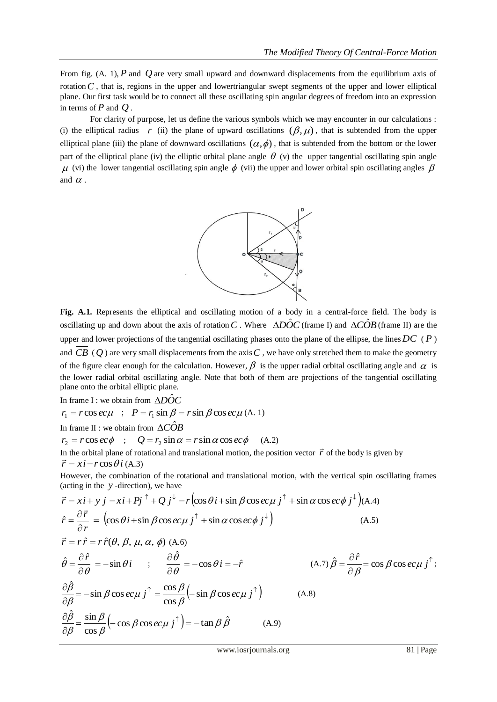From fig.  $(A. 1)$ ,  $P$  and  $Q$  are very small upward and downward displacements from the equilibrium axis of rotation  $C$ , that is, regions in the upper and lowertriangular swept segments of the upper and lower elliptical plane. Our first task would be to connect all these oscillating spin angular degrees of freedom into an expression in terms of  $P$  and  $Q$ .

For clarity of purpose, let us define the various symbols which we may encounter in our calculations : (i) the elliptical radius r (ii) the plane of upward oscillations  $(\beta, \mu)$ , that is subtended from the upper elliptical plane (iii) the plane of downward oscillations  $(\alpha, \phi)$ , that is subtended from the bottom or the lower part of the elliptical plane (iv) the elliptic orbital plane angle  $\theta$  (v) the upper tangential oscillating spin angle  $\mu$  (vi) the lower tangential oscillating spin angle  $\phi$  (vii) the upper and lower orbital spin oscillating angles  $\beta$ and  $\alpha$ .



**Fig. A.1.** Represents the elliptical and oscillating motion of a body in a central-force field. The body is oscillating up and down about the axis of rotation C. Where  $\triangle D\hat{O}C$  (frame I) and  $\triangle C\hat{O}B$  (frame II) are the upper and lower projections of the tangential oscillating phases onto the plane of the ellipse, the lines *DC* ( *P* ) and  $CB$  (Q) are very small displacements from the axis  $C$ , we have only stretched them to make the geometry of the figure clear enough for the calculation. However,  $\beta$  is the upper radial orbital oscillating angle and  $\alpha$  is the lower radial orbital oscillating angle. Note that both of them are projections of the tangential oscillating plane onto the orbital elliptic plane.

In frame I : we obtain from  $\triangle D\hat{O}C$ 

 $r_1 = r \cos e c \mu$  ;  $P = r_1 \sin \beta = r \sin \beta \cos e c \mu$  (A. 1)

In frame II : we obtain from  $\triangle C\hat{O}B$ 

 $r_2 = r \cos e c \phi$  ;  $Q = r_2 \sin \alpha = r \sin \alpha \cos e c \phi$  (A.2)

In the orbital plane of rotational and translational motion, the position vector  $\vec{r}$  of the body is given by  $\vec{r} = x\hat{i} = r\cos\theta\hat{i}$  (A.3)

However, the combination of the rotational and translational motion, with the vertical spin oscillating frames (acting in the *y* -direction), we have

$$
\vec{r} = xi + y j = xi + Pj^{\dagger} + Qj^{\dagger} = r \left( \cos \theta i + \sin \beta \cos ec\mu j^{\dagger} + \sin \alpha \cos ec\phi j^{\dagger} \right) (A.4)
$$
  
\n
$$
\hat{r} = \frac{\partial \vec{r}}{\partial r} = \left( \cos \theta i + \sin \beta \cos ec\mu j^{\dagger} + \sin \alpha \cos ec\phi j^{\dagger} \right)
$$
  
\n
$$
\vec{r} = r \hat{r} = r \hat{r} (\theta, \beta, \mu, \alpha, \phi) (A.6)
$$
\n(A.5)

$$
\hat{\theta} = \frac{\partial \hat{r}}{\partial \theta} = -\sin \theta \, i \qquad ; \qquad \frac{\partial \hat{\theta}}{\partial \theta} = -\cos \theta \, i = -\hat{r} \qquad (A.7) \hat{\beta} = \frac{\partial \hat{r}}{\partial \beta} = \cos \beta \cos ec\mu \, j^{\uparrow};
$$
\n
$$
\frac{\partial \hat{\beta}}{\partial \beta} = -\sin \beta \cos ec\mu \, j^{\uparrow} = \frac{\cos \beta}{\cos \beta} \left( -\sin \beta \cos ec\mu \, j^{\uparrow} \right) \qquad (A.8)
$$
\n
$$
\frac{\partial \hat{\beta}}{\partial \beta} = \frac{\sin \beta}{\cos \beta} \left( -\cos \beta \cos ec\mu \, j^{\uparrow} \right) = -\tan \beta \, \hat{\beta} \qquad (A.9)
$$